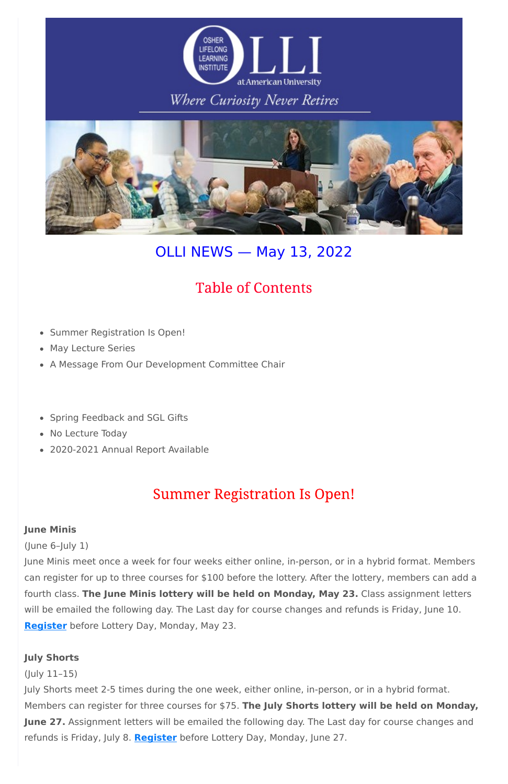

## Where Curiosity Never Retires



# OLLI NEWS — May 13, 2022

# **Table of Contents**

- Summer Registration Is Open!
- May Lecture Series
- A Message From Our Development Committee Chair
- Spring Feedback and SGL Gifts
- No Lecture Today
- 2020-2021 Annual Report Available

# **Summer Registration Is Open!**

### **June Minis**

(June 6–July 1)

June Minis meet once a week for four weeks either online, in-person, or in a hybrid format. Members can register for up to three courses for \$100 before the lottery. After the lottery, members can add a fourth class. **The June Minis lottery will be held on Monday, May 23.** Class assignment letters will be emailed the following day. The Last day for course changes and refunds is Friday, June 10. **[Register](http://www.olli-dc.org/register_for_study_groups)** before Lottery Day, Monday, May 23.

### **July Shorts**

(July 11–15)

July Shorts meet 2-5 times during the one week, either online, in-person, or in a hybrid format.

Members can register for three courses for \$75. **The July Shorts lottery will be held on Monday,**

**June 27.** Assignment letters will be emailed the following day. The Last day for course changes and

refunds is Friday, July 8. **[Register](http://www.olli-dc.org/shorts_courses_registration)** before Lottery Day, Monday, June 27.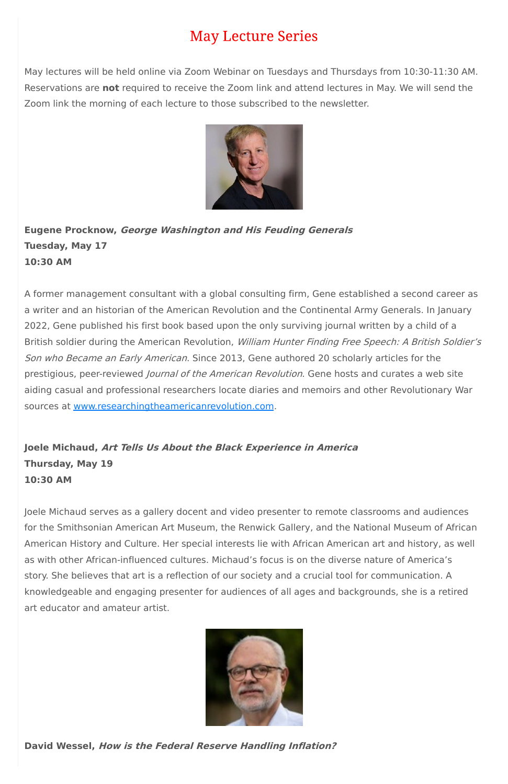# **May Lecture Series**

May lectures will be held online via Zoom Webinar on Tuesdays and Thursdays from 10:30-11:30 AM. Reservations are **not** required to receive the Zoom link and attend lectures in May. We will send the Zoom link the morning of each lecture to those subscribed to the newsletter.



**Eugene Procknow, George Washington and His Feuding Generals Tuesday, May 17 10:30 AM**

A former management consultant with a global consulting firm, Gene established a second career as a writer and an historian of the American Revolution and the Continental Army Generals. In January 2022, Gene published his first book based upon the only surviving journal written by a child of a British soldier during the American Revolution, William Hunter Finding Free Speech: A British Soldier's Son who Became an Early American. Since 2013, Gene authored 20 scholarly articles for the prestigious, peer-reviewed *Journal of the American Revolution*. Gene hosts and curates a web site aiding casual and professional researchers locate diaries and memoirs and other Revolutionary War sources at [www.researchingtheamericanrevolution.com.](http://www.researchingtheamericanrevolution.com/)

**Joele Michaud, Art Tells Us About the Black Experience in America Thursday, May 19 10:30 AM**

Joele Michaud serves as a gallery docent and video presenter to remote classrooms and audiences for the Smithsonian American Art Museum, the Renwick Gallery, and the National Museum of African American History and Culture. Her special interests lie with African American art and history, as well as with other African-influenced cultures. Michaud's focus is on the diverse nature of America's story. She believes that art is a reflection of our society and a crucial tool for communication. A

knowledgeable and engaging presenter for audiences of all ages and backgrounds, she is a retired art educator and amateur artist.



**David Wessel, How is the Federal Reserve Handling Inflation?**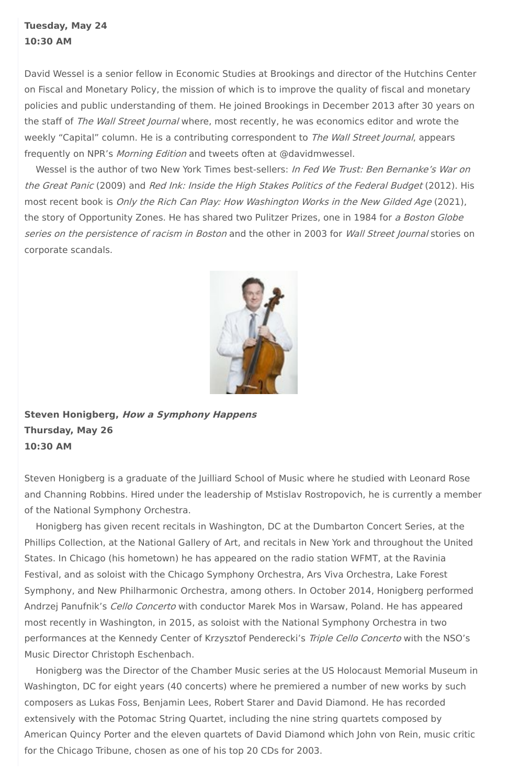## **Tuesday, May 24 10:30 AM**

David Wessel is a senior fellow in Economic Studies at Brookings and director of the Hutchins Center on Fiscal and Monetary Policy, the mission of which is to improve the quality of fiscal and monetary policies and public understanding of them. He joined Brookings in December 2013 after 30 years on the staff of The Wall Street Journal where, most recently, he was economics editor and wrote the weekly "Capital" column. He is a contributing correspondent to The Wall Street Journal, appears frequently on NPR's Morning Edition and tweets often at @davidmwessel.

Wessel is the author of two New York Times best-sellers: In Fed We Trust: Ben Bernanke's War on the Great Panic (2009) and Red Ink: Inside the High Stakes Politics of the Federal Budget (2012). His most recent book is Only the Rich Can Play: How Washington Works in the New Gilded Age (2021), the story of Opportunity Zones. He has shared two Pulitzer Prizes, one in 1984 for a Boston Globe series on the persistence of racism in Boston and the other in 2003 for Wall Street Journal stories on corporate scandals.



**Steven Honigberg, How <sup>a</sup> Symphony Happens Thursday, May 26 10:30 AM**

Steven Honigberg is a graduate of the Juilliard School of Music where he studied with Leonard Rose and Channing Robbins. Hired under the leadership of Mstislav Rostropovich, he is currently a member of the National Symphony Orchestra.

Honigberg has given recent recitals in Washington, DC at the Dumbarton Concert Series, at the Phillips Collection, at the National Gallery of Art, and recitals in New York and throughout the United States. In Chicago (his hometown) he has appeared on the radio station WFMT, at the Ravinia Festival, and as soloist with the Chicago Symphony Orchestra, Ars Viva Orchestra, Lake Forest Symphony, and New Philharmonic Orchestra, among others. In October 2014, Honigberg performed Andrzej Panufnik's Cello Concerto with conductor Marek Mos in Warsaw, Poland. He has appeared most recently in Washington, in 2015, as soloist with the National Symphony Orchestra in two performances at the Kennedy Center of Krzysztof Penderecki's Triple Cello Concerto with the NSO's Music Director Christoph Eschenbach.

Honigberg was the Director of the Chamber Music series at the US Holocaust Memorial Museum in Washington, DC for eight years (40 concerts) where he premiered a number of new works by such composers as Lukas Foss, Benjamin Lees, Robert Starer and David Diamond. He has recorded extensively with the Potomac String Quartet, including the nine string quartets composed by American Quincy Porter and the eleven quartets of David Diamond which John von Rein, music critic for the Chicago Tribune, chosen as one of his top 20 CDs for 2003.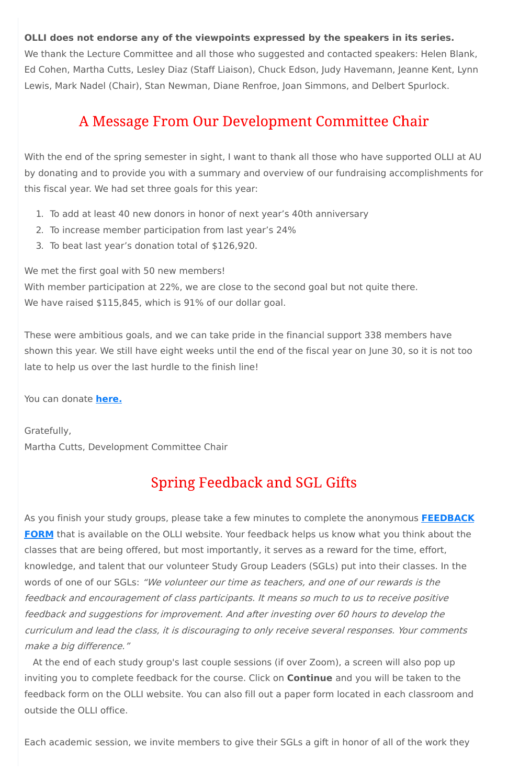### **OLLI does not endorse any of the viewpoints expressed by the speakers in its series.**

We thank the Lecture Committee and all those who suggested and contacted speakers: Helen Blank, Ed Cohen, Martha Cutts, Lesley Diaz (Staff Liaison), Chuck Edson, Judy Havemann, Jeanne Kent, Lynn Lewis, Mark Nadel (Chair), Stan Newman, Diane Renfroe, Joan Simmons, and Delbert Spurlock.

## A Message From Our Development Committee Chair

With member participation at 22%, we are close to the second goal but not quite there. We have raised \$115,845, which is 91% of our dollar goal.

With the end of the spring semester in sight, I want to thank all those who have supported OLLI at AU by donating and to provide you with a summary and overview of our fundraising accomplishments for this fiscal year. We had set three goals for this year:

- 1. To add at least 40 new donors in honor of next year's 40th anniversary
- 2. To increase member participation from last year's 24%
- 3. To beat last year's donation total of \$126,920.

We met the first goal with 50 new members!

These were ambitious goals, and we can take pride in the financial support 338 members have shown this year. We still have eight weeks until the end of the fiscal year on June 30, so it is not too late to help us over the last hurdle to the finish line!

You can donate **[here.](https://www.olli-dc.org/donate)**

Gratefully, Martha Cutts, Development Committee Chair

# **Spring Feedback and SGL Gifts**

As you finish your study groups, please take a few minutes to complete the anonymous **[FEEDBACK](https://www.olli-dc.org/finalfeedbackform) FORM** that is available on the OLLI website. Your feedback helps us know what you think about the classes that are being offered, but most importantly, it serves as a reward for the time, effort, knowledge, and talent that our volunteer Study Group Leaders (SGLs) put into their classes. In the

words of one of our SGLs: "We volunteer our time as teachers, and one of our rewards is the feedback and encouragement of class participants. It means so much to us to receive positive feedback and suggestions for improvement. And after investing over 60 hours to develop the curriculum and lead the class, it is discouraging to only receive several responses. Your comments make <sup>a</sup> big difference."

At the end of each study group's last couple sessions (if over Zoom), a screen will also pop up inviting you to complete feedback for the course. Click on **Continue** and you will be taken to the feedback form on the OLLI website. You can also fill out a paper form located in each classroom and outside the OLLI office.

Each academic session, we invite members to give their SGLs a gift in honor of all of the work they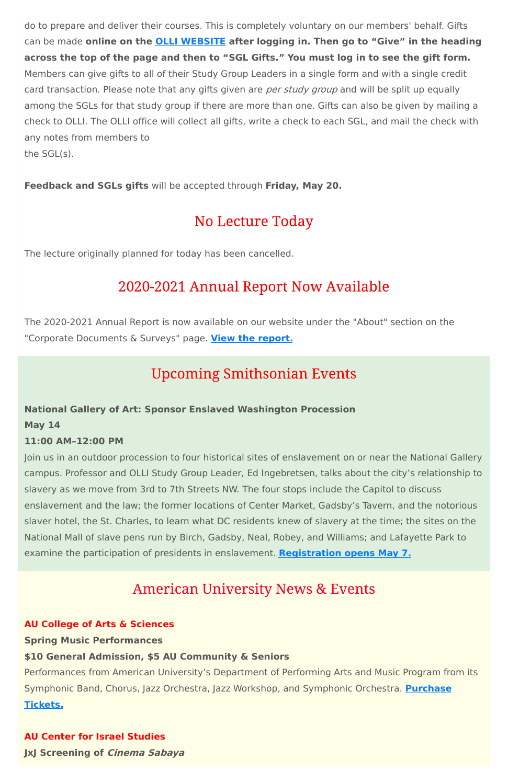do to prepare and deliver their courses. This is completely voluntary on our members' behalf. Gifts can be made **online on the OLLI [WEBSITE](https://olli-dc.org/MyAccount/Logon) after logging in. Then go to "Give" in the heading** across the top of the page and then to "SGL Gifts." You must log in to see the gift form. Members can give gifts to all of their Study Group Leaders in a single form and with a single credit card transaction. Please note that any gifts given are *per study group* and will be split up equally among the SGLs for that study group if there are more than one. Gifts can also be given by mailing a check to OLLI. The OLLI office will collect all gifts, write a check to each SGL, and mail the check with any notes from members to the SGL(s).

**Feedback and SGLs gifts** will be accepted through **Friday, May 20.**

## No Lecture Today

The lecture originally planned for today has been cancelled.

# 2020-2021 Annual Report Now Available

The 2020-2021 Annual Report is now available on our website under the "About" section on the "Corporate Documents & Surveys" page. **View the [report.](https://www.olli-dc.org/uploads/PDFs/Annual_Report/2020-21-annual-report.pdf)**

# **Upcoming Smithsonian Events**

### **National Gallery of Art: Sponsor Enslaved Washington Procession**

**May 14**

## **11:00 AM–12:00 PM**

Join us in an outdoor procession to four historical sites of enslavement on or near the National Gallery campus. Professor and OLLI Study Group Leader, Ed Ingebretsen, talks about the city's relationship to slavery as we move from 3rd to 7th Streets NW. The four stops include the Capitol to discuss enslavement and the law; the former locations of Center Market, Gadsby's Tavern, and the notorious slaver hotel, the St. Charles, to learn what DC residents knew of slavery at the time; the sites on the National Mall of slave pens run by Birch, Gadsby, Neal, Robey, and Williams; and Lafayette Park to examine the participation of presidents in enslavement. **[Registration](https://www.nga.gov/calendar/guided-tours/afro-atlantic-histories/procession-enslaved-washington.html) opens May 7.**

## **American University News & Events**

#### **AU College of Arts & Sciences**

**Spring Music Performances**

#### **\$10 General Admission, \$5 AU Community & Seniors**

Performances from American University's Department of Performing Arts and Music Program from its

Symphonic Band, Chorus, Jazz Orchestra, Jazz Workshop, and [Symphonic](https://auartstix.universitytickets.com/w/?cid=168) Orchestra. **Purchase**

#### **Tickets.**

#### **AU Center for Israel Studies**

**JxJ Screening of Cinema Sabaya**